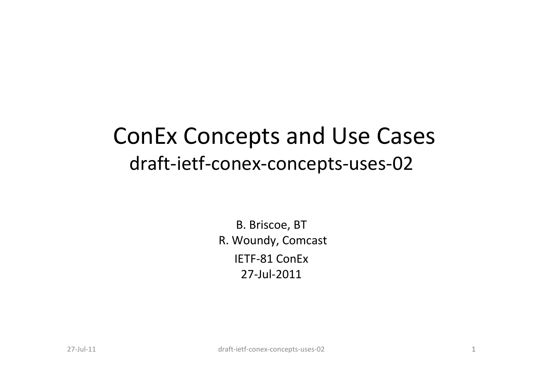#### ConEx Concepts and Use Cases draft-ietf-conex-concepts-uses-02

B. Briscoe, BT R. Woundy, ComcastIETF-81 ConEx27-Jul-2011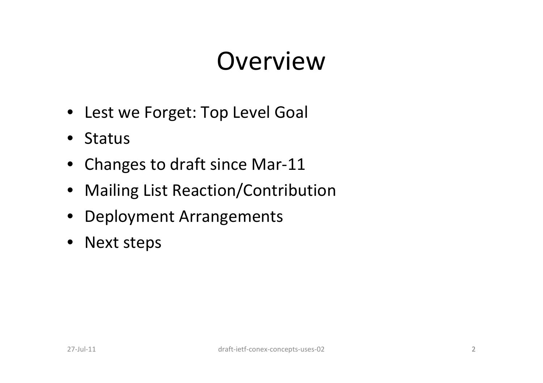## Overview

- Lest we Forget: Top Level Goal
- Status
- Changes to draft since Mar-11
- Mailing List Reaction/Contribution
- Deployment Arrangements
- Next steps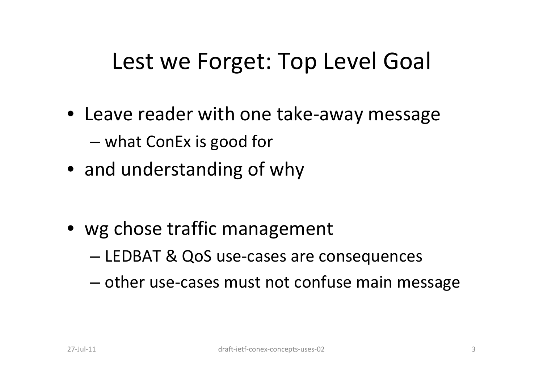#### Lest we Forget: Top Level Goal

- Leave reader with one take-away messageand the state of the state — what ConEx is good for
- and understanding of why
- wg chose traffic management
	- and the state of the state LEDBAT & QoS use-cases are consequences
	- and the state of the state  $-$  other use-cases must not confuse main message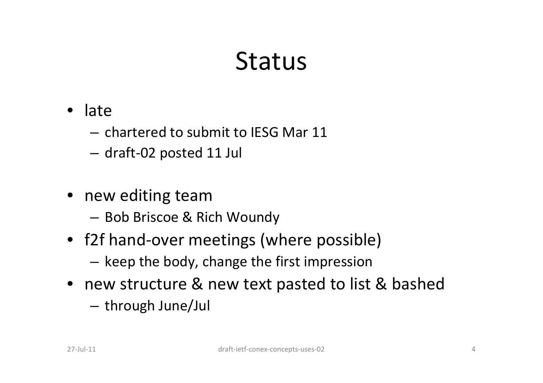#### Status

- • late
	- – $-$  chartered to submit to IESG Mar 11  $\,$
	- –draft-02 posted 11 Jul
- new editing team
	- $-$  BOD Britch  $\mathbb{Z}$ , I  $-$  Bob Briscoe & Rich Woundy
- f2f hand-over meetings (where possible)
	- and the state of the  $-$  keep the body, change the first impression
- new structure & new text pasted to list & bashed
	- and the state of the  $-$  through June/Jul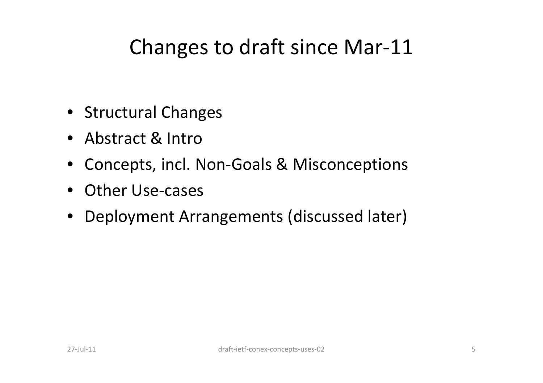#### Changes to draft since Mar-11

- Structural Changes
- Abstract & Intro
- Concepts, incl. Non-Goals & Misconceptions
- Other Use-cases
- Deployment Arrangements (discussed later)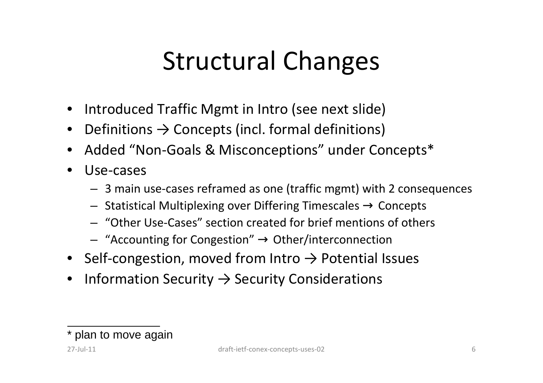## Structural Changes

- Introduced Traffic Mgmt in Intro (see next slide)
- Definitions  $\rightarrow$  Concepts (incl. formal definitions)
- Added "Non-Goals & Misconceptions" under Concepts\*
- $\bullet$  Use-cases
	- 3 main use-cases reframed as one (traffic mgmt) with 2 consequences
	- Statistical Multiplexing over Differing Timescales → Concepts
	- "Other Use-Cases" section created for brief mentions of others
	- "Accounting for Congestion" → Other/interconnection
- Self-congestion, moved from Intro  $\rightarrow$  Potential Issues
- $\bullet$ Information Security  $\rightarrow$  Security Considerations

<sup>\*</sup> plan to move again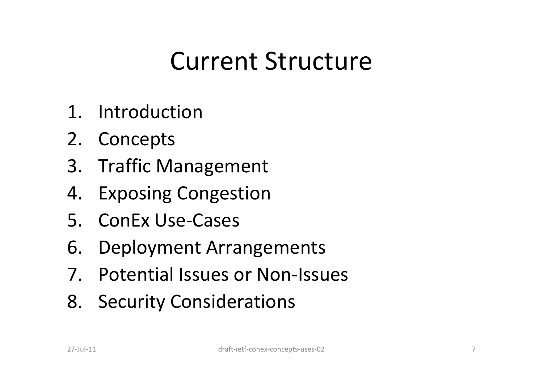## Current Structure

- 1. Introduction
- 2. Concepts
- 3. Traffic Management
- 4. Exposing Congestion
- 5. ConEx Use-Cases
- 6. Deployment Arrangements
- 7. Potential Issues or Non-Issues
- 8. Security Considerations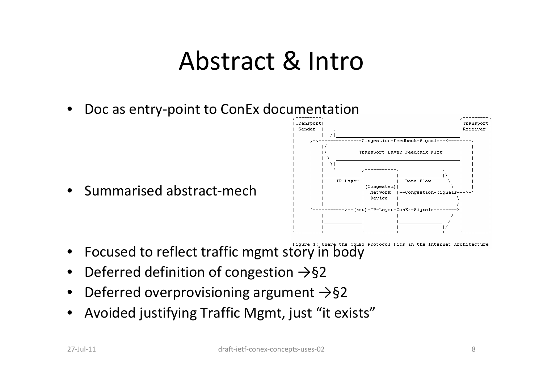#### Abstract & Intro

•Doc as entry-point to ConEx documentation

 $\bullet$ Summarised abstract-mech



- Figure 1: Where the ConEx Protocol Fits in the Internet Architecture
- $\bullet$ Focused to reflect traffic mgmt story in body
- •Deferred definition of congestion  $\rightarrow$ §2
- •Deferred overprovisioning argument  $\rightarrow$ §2
- •Avoided justifying Traffic Mgmt, just "it exists"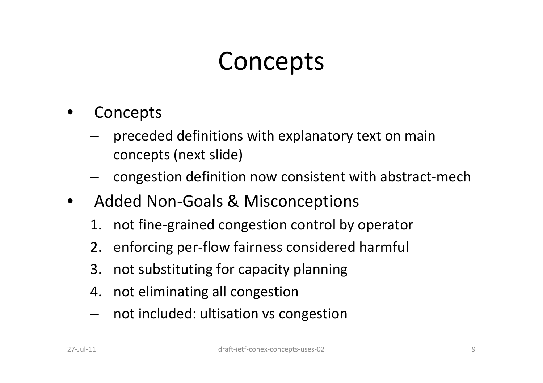## **Concepts**

- • Concepts
	- – preceded definitions with explanatory text on main concepts (next slide)
	- and the state of the congestion definition now consistent with abstract-mech
- Added Non-Goals & Misconceptions
	- 1. not fine-grained congestion control by operator
	- 2. enforcing per-flow fairness considered harmful
	- 3. not substituting for capacity planning
	- 4. not eliminating all congestion
	- **Links of the Company** not included: ultisation vs congestion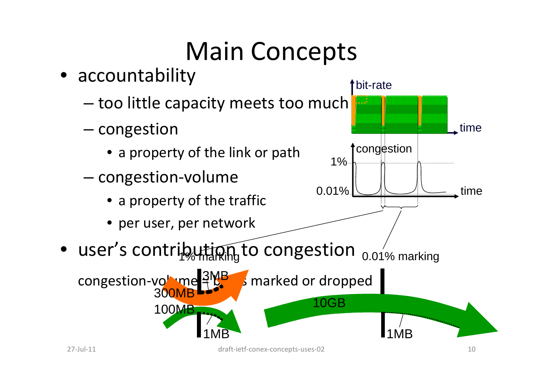# Main Concepts

• accountability and the state of the state - too little capacity meets too much  $\begin{array}{|c|c|c|c|c|}\hline \ \ \hline \end{array}$ – $-$  congestion • a property of the link or path– $-$  congestion-volume • a property of the traffic• per user, per network• user's contribution to congestion  $_{0.01\%}$  marking congestion-volume  $\frac{3MP}{3}$  marked or dropped bit-ratetimecongestiontime10GB1MB1MB300MB 100MB1%0.01%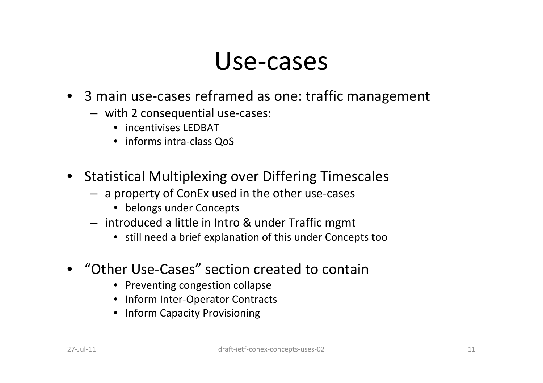#### Use-cases

- 3 main use-cases reframed as one: traffic management
	- with 2 consequential use-cases:
		- incentivises LEDBAT
		- informs intra-class QoS
- Statistical Multiplexing over Differing Timescales
	- a property of ConEx used in the other use-cases
		- belongs under Concepts
	- introduced a little in Intro & under Traffic mgmt
		- still need a brief explanation of this under Concepts too
- "Other Use-Cases" section created to contain
	- Preventing congestion collapse
	- Inform Inter-Operator Contracts
	- Inform Capacity Provisioning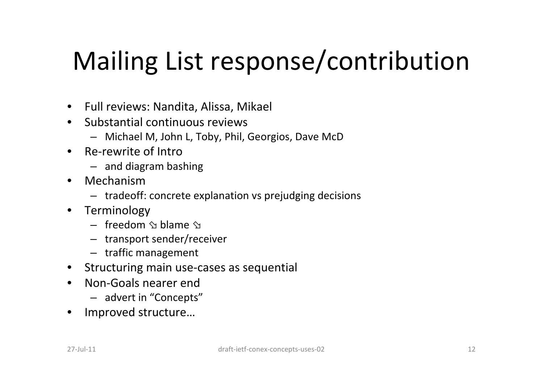# Mailing List response/contribution

- Full reviews: Nandita, Alissa, Mikael
- Substantial continuous reviews
	- Michael M, John L, Toby, Phil, Georgios, Dave McD
- Re-rewrite of Intro
	- and diagram bashing
- • Mechanism
	- tradeoff: concrete explanation vs prejudging decision s
- Terminology
	- $-$  freedom  $\hat{ }$  blame  $\hat{ }$
	- transport sender/receiver
	- traffic management
- Structuring main use-cases as sequential
- Non-Goals nearer end
	- advert in "Concepts"
- $\bullet$ Improved structure…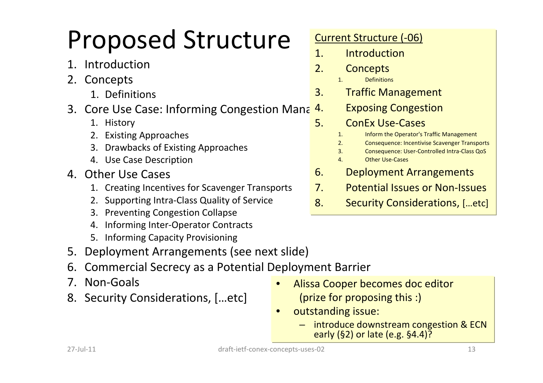# Proposed Structure

- 1. Introduction
- 2. Concepts
	- 1. Definitions
- 3. Core Use Case: Informing Congestion Mana 4.<br>1. History
	- 1. History
	- 2. Existing Approaches
	- 3. Drawbacks of Existing Approaches
	- 4. Use Case Description
- 4. Other Use Cases
	- 1. Creating Incentives for Scavenger Transports
	- 2. Supporting Intra-Class Quality of Service
	- 3. Preventing Congestion Collapse
	- 4. Informing Inter-Operator Contracts
	- 5. Informing Capacity Provisioning
- 5. Deployment Arrangements (see next slide)
- 6. Commercial Secrecy as a Potential Deployment Barrier
- 7. Non-Goals
- 8. Security Considerations, […etc]

#### Current Structure (-06)

- 1. Introduction
- 2. Concepts
	- **Definitions**
- 3. Traffic Management
	- **Exposing Congestion**
	- **CONEX USE-Cases**<br>1. Inform the Operator's 1
		- 1. Inform the Operator's Traffic Management
		- 2. Consequence: Incentivise Scavenger Transports<br>3. Consequence: User-Controlled Intra-Class QoS
		- 3. Consequence: User-Controlled Intra-Class QoS
		- 4. Other Use-Cases
- 6. Deployment Arrangements
- 7. Potential Issues or Non-Issues
- 8. Security Considerations, […etc]

- • Alissa Cooper becomes doc editor (prize for proposing this :)
- • outstanding issue:
	- introduce downstream congestion & ECN early (§2) or late (e.g. §4.4)?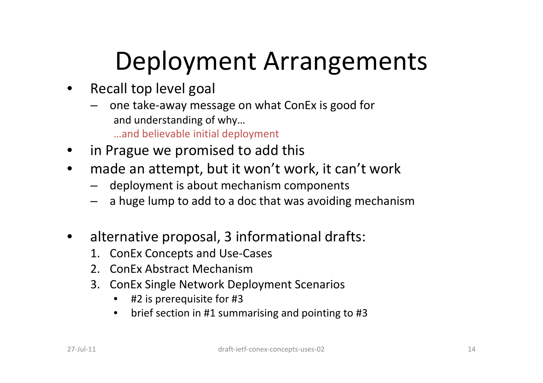# Deployment Arrangements

- $\bullet$  Recall top level goal
	- – one take-away message on what ConEx is good for and understanding of why…
		- …and believable initial deployment
- •in Prague we promised to add this
- made an attempt, but it won't work, it can't work $\bullet$ 
	- deployment is about mechanism components
	- –a huge lump to add to a doc that was avoiding mechanism
- $\bullet$  alternative proposal, 3 informational drafts:
	- 1. ConEx Concepts and Use-Cases
	- 2. ConEx Abstract Mechanism
	- 3. ConEx Single Network Deployment Scenarios
		- •#2 is prerequisite for #3
		- brief section in #1 summarising and pointing to #3 $\bullet$